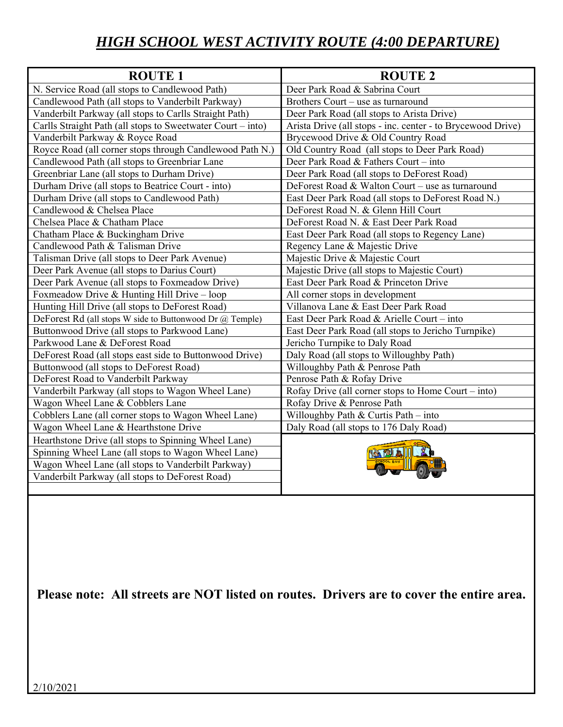## *HIGH SCHOOL WEST ACTIVITY ROUTE (4:00 DEPARTURE)*

| <b>ROUTE 1</b>                                              | <b>ROUTE 2</b>                                              |
|-------------------------------------------------------------|-------------------------------------------------------------|
| N. Service Road (all stops to Candlewood Path)              | Deer Park Road & Sabrina Court                              |
| Candlewood Path (all stops to Vanderbilt Parkway)           | Brothers Court - use as turnaround                          |
| Vanderbilt Parkway (all stops to Carlls Straight Path)      | Deer Park Road (all stops to Arista Drive)                  |
| Carlls Straight Path (all stops to Sweetwater Court – into) | Arista Drive (all stops - inc. center - to Brycewood Drive) |
| Vanderbilt Parkway & Royce Road                             | Brycewood Drive & Old Country Road                          |
| Royce Road (all corner stops through Candlewood Path N.)    | Old Country Road (all stops to Deer Park Road)              |
| Candlewood Path (all stops to Greenbriar Lane               | Deer Park Road & Fathers Court – into                       |
| Greenbriar Lane (all stops to Durham Drive)                 | Deer Park Road (all stops to DeForest Road)                 |
| Durham Drive (all stops to Beatrice Court - into)           | DeForest Road & Walton Court - use as turnaround            |
| Durham Drive (all stops to Candlewood Path)                 | East Deer Park Road (all stops to DeForest Road N.)         |
| Candlewood & Chelsea Place                                  | DeForest Road N. & Glenn Hill Court                         |
| Chelsea Place & Chatham Place                               | DeForest Road N. & East Deer Park Road                      |
| Chatham Place & Buckingham Drive                            | East Deer Park Road (all stops to Regency Lane)             |
| Candlewood Path & Talisman Drive                            | Regency Lane & Majestic Drive                               |
| Talisman Drive (all stops to Deer Park Avenue)              | Majestic Drive & Majestic Court                             |
| Deer Park Avenue (all stops to Darius Court)                | Majestic Drive (all stops to Majestic Court)                |
| Deer Park Avenue (all stops to Foxmeadow Drive)             | East Deer Park Road & Princeton Drive                       |
| Foxmeadow Drive & Hunting Hill Drive $-$ loop               | All corner stops in development                             |
| Hunting Hill Drive (all stops to DeForest Road)             | Villanova Lane & East Deer Park Road                        |
| DeForest Rd (all stops W side to Buttonwood Dr @ Temple)    | East Deer Park Road & Arielle Court – into                  |
| Buttonwood Drive (all stops to Parkwood Lane)               | East Deer Park Road (all stops to Jericho Turnpike)         |
| Parkwood Lane & DeForest Road                               | Jericho Turnpike to Daly Road                               |
| DeForest Road (all stops east side to Buttonwood Drive)     | Daly Road (all stops to Willoughby Path)                    |
| Buttonwood (all stops to DeForest Road)                     | Willoughby Path & Penrose Path                              |
| DeForest Road to Vanderbilt Parkway                         | Penrose Path & Rofay Drive                                  |
| Vanderbilt Parkway (all stops to Wagon Wheel Lane)          | Rofay Drive (all corner stops to Home Court – into)         |
| Wagon Wheel Lane & Cobblers Lane                            | Rofay Drive & Penrose Path                                  |
| Cobblers Lane (all corner stops to Wagon Wheel Lane)        | Willoughby Path & Curtis Path $-$ into                      |
| Wagon Wheel Lane & Hearthstone Drive                        | Daly Road (all stops to 176 Daly Road)                      |
| Hearthstone Drive (all stops to Spinning Wheel Lane)        |                                                             |
| Spinning Wheel Lane (all stops to Wagon Wheel Lane)         |                                                             |
| Wagon Wheel Lane (all stops to Vanderbilt Parkway)          |                                                             |
| Vanderbilt Parkway (all stops to DeForest Road)             |                                                             |
|                                                             |                                                             |

**Please note: All streets are NOT listed on routes. Drivers are to cover the entire area.**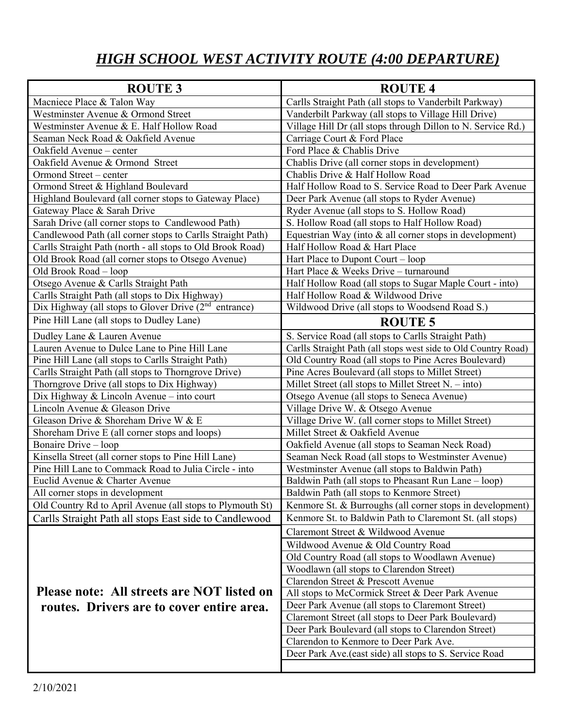## *HIGH SCHOOL WEST ACTIVITY ROUTE (4:00 DEPARTURE)*

| <b>ROUTE 3</b>                                                    | <b>ROUTE 4</b>                                                 |
|-------------------------------------------------------------------|----------------------------------------------------------------|
| Macniece Place & Talon Way                                        | Carlls Straight Path (all stops to Vanderbilt Parkway)         |
| Westminster Avenue & Ormond Street                                | Vanderbilt Parkway (all stops to Village Hill Drive)           |
| Westminster Avenue & E. Half Hollow Road                          | Village Hill Dr (all stops through Dillon to N. Service Rd.)   |
| Seaman Neck Road & Oakfield Avenue                                | Carriage Court & Ford Place                                    |
| Oakfield Avenue - center                                          | Ford Place & Chablis Drive                                     |
| Oakfield Avenue & Ormond Street                                   | Chablis Drive (all corner stops in development)                |
| Ormond Street – center                                            | Chablis Drive & Half Hollow Road                               |
| Ormond Street & Highland Boulevard                                | Half Hollow Road to S. Service Road to Deer Park Avenue        |
| Highland Boulevard (all corner stops to Gateway Place)            | Deer Park Avenue (all stops to Ryder Avenue)                   |
| Gateway Place & Sarah Drive                                       | Ryder Avenue (all stops to S. Hollow Road)                     |
| Sarah Drive (all corner stops to Candlewood Path)                 | S. Hollow Road (all stops to Half Hollow Road)                 |
| Candlewood Path (all corner stops to Carlls Straight Path)        | Equestrian Way (into $&$ all corner stops in development)      |
| Carlls Straight Path (north - all stops to Old Brook Road)        | Half Hollow Road & Hart Place                                  |
| Old Brook Road (all corner stops to Otsego Avenue)                | Hart Place to Dupont Court – loop                              |
| Old Brook Road - loop                                             | Hart Place & Weeks Drive – turnaround                          |
| Otsego Avenue & Carlls Straight Path                              | Half Hollow Road (all stops to Sugar Maple Court - into)       |
| Carlls Straight Path (all stops to Dix Highway)                   | Half Hollow Road & Wildwood Drive                              |
| Dix Highway (all stops to Glover Drive (2 <sup>nd</sup> entrance) | Wildwood Drive (all stops to Woodsend Road S.)                 |
| Pine Hill Lane (all stops to Dudley Lane)                         | <b>ROUTE 5</b>                                                 |
| Dudley Lane & Lauren Avenue                                       | S. Service Road (all stops to Carlls Straight Path)            |
| Lauren Avenue to Dulce Lane to Pine Hill Lane                     | Carlls Straight Path (all stops west side to Old Country Road) |
| Pine Hill Lane (all stops to Carlls Straight Path)                | Old Country Road (all stops to Pine Acres Boulevard)           |
| Carlls Straight Path (all stops to Thorngrove Drive)              | Pine Acres Boulevard (all stops to Millet Street)              |
| Thorngrove Drive (all stops to Dix Highway)                       | Millet Street (all stops to Millet Street $N. - into$ )        |
| Dix Highway & Lincoln Avenue – into court                         | Otsego Avenue (all stops to Seneca Avenue)                     |
| Lincoln Avenue & Gleason Drive                                    | Village Drive W. & Otsego Avenue                               |
| Gleason Drive & Shoreham Drive W & E                              | Village Drive W. (all corner stops to Millet Street)           |
| Shoreham Drive E (all corner stops and loops)                     | Millet Street & Oakfield Avenue                                |
| Bonaire Drive - loop                                              | Oakfield Avenue (all stops to Seaman Neck Road)                |
| Kinsella Street (all corner stops to Pine Hill Lane)              | Seaman Neck Road (all stops to Westminster Avenue)             |
| Pine Hill Lane to Commack Road to Julia Circle - into             | Westminster Avenue (all stops to Baldwin Path)                 |
| Euclid Avenue & Charter Avenue                                    | Baldwin Path (all stops to Pheasant Run Lane – loop)           |
| All corner stops in development                                   | Baldwin Path (all stops to Kenmore Street)                     |
| Old Country Rd to April Avenue (all stops to Plymouth St)         | Kenmore St. & Burroughs (all corner stops in development)      |
| Carlls Straight Path all stops East side to Candlewood            | Kenmore St. to Baldwin Path to Claremont St. (all stops)       |
|                                                                   | Claremont Street & Wildwood Avenue                             |
|                                                                   | Wildwood Avenue & Old Country Road                             |
|                                                                   | Old Country Road (all stops to Woodlawn Avenue)                |
|                                                                   | Woodlawn (all stops to Clarendon Street)                       |
|                                                                   | Clarendon Street & Prescott Avenue                             |
| Please note: All streets are NOT listed on                        | All stops to McCormick Street & Deer Park Avenue               |
| routes. Drivers are to cover entire area.                         | Deer Park Avenue (all stops to Claremont Street)               |
|                                                                   | Claremont Street (all stops to Deer Park Boulevard)            |
|                                                                   | Deer Park Boulevard (all stops to Clarendon Street)            |
|                                                                   | Clarendon to Kenmore to Deer Park Ave.                         |
|                                                                   | Deer Park Ave.(east side) all stops to S. Service Road         |
|                                                                   |                                                                |